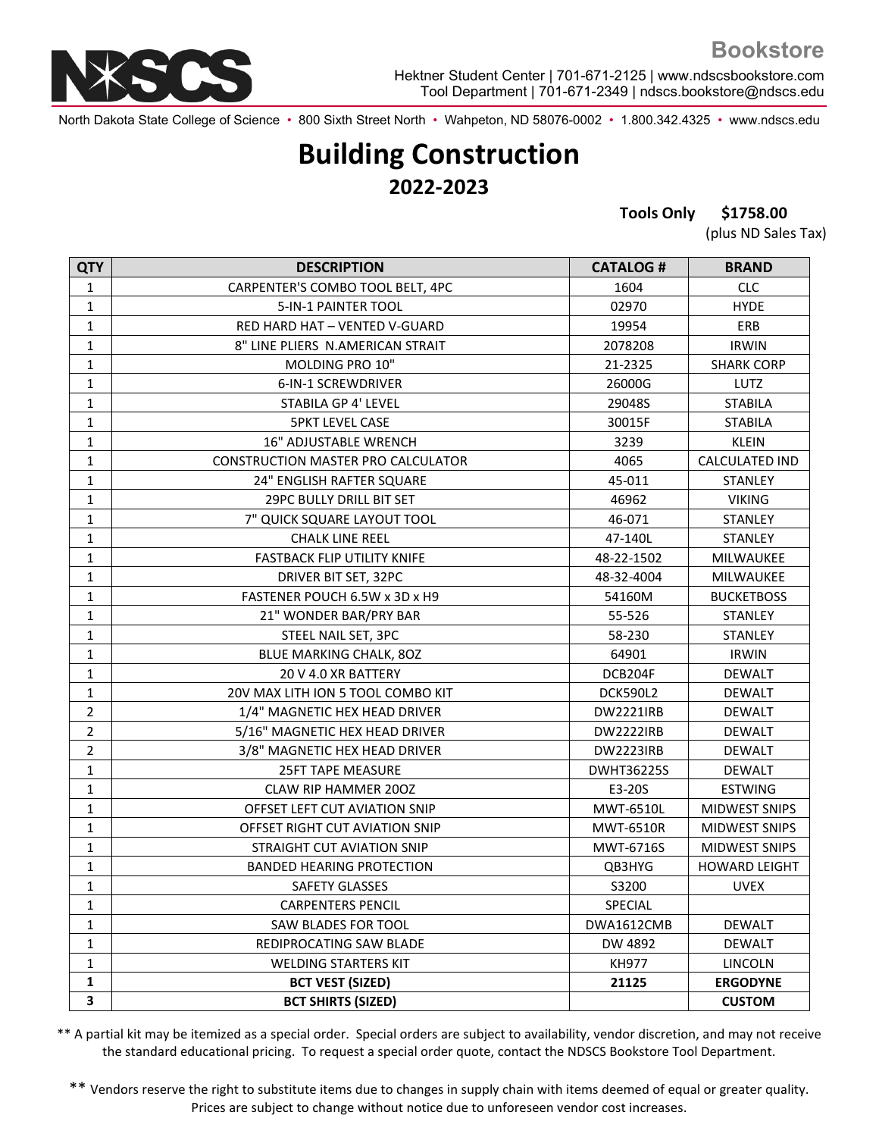

North Dakota State College of Science • 800 Sixth Street North • Wahpeton, ND 58076-0002 • 1.800.342.4325 • www.ndscs.edu

## **Building Construction 2022-2023**

**Tools Only \$1758.00**

(plus ND Sales Tax)

| <b>QTY</b>     | <b>DESCRIPTION</b>                 | <b>CATALOG#</b>   | <b>BRAND</b>          |
|----------------|------------------------------------|-------------------|-----------------------|
| 1              | CARPENTER'S COMBO TOOL BELT, 4PC   | 1604              | <b>CLC</b>            |
| $\mathbf 1$    | 5-IN-1 PAINTER TOOL                | 02970             | <b>HYDE</b>           |
| 1              | RED HARD HAT - VENTED V-GUARD      | 19954             | ERB                   |
| $\mathbf 1$    | 8" LINE PLIERS N.AMERICAN STRAIT   | 2078208           | <b>IRWIN</b>          |
| 1              | MOLDING PRO 10"                    | 21-2325           | <b>SHARK CORP</b>     |
| 1              | 6-IN-1 SCREWDRIVER                 | 26000G            | LUTZ                  |
| 1              | <b>STABILA GP 4' LEVEL</b>         | 29048S            | <b>STABILA</b>        |
| 1              | <b>5PKT LEVEL CASE</b>             | 30015F            | <b>STABILA</b>        |
| 1              | <b>16" ADJUSTABLE WRENCH</b>       | 3239              | <b>KLEIN</b>          |
| 1              | CONSTRUCTION MASTER PRO CALCULATOR | 4065              | <b>CALCULATED IND</b> |
| $\mathbf{1}$   | 24" ENGLISH RAFTER SQUARE          | 45-011            | <b>STANLEY</b>        |
| 1              | <b>29PC BULLY DRILL BIT SET</b>    | 46962             | <b>VIKING</b>         |
| $\mathbf 1$    | 7" QUICK SQUARE LAYOUT TOOL        | 46-071            | STANLEY               |
| 1              | <b>CHALK LINE REEL</b>             | 47-140L           | <b>STANLEY</b>        |
| 1              | <b>FASTBACK FLIP UTILITY KNIFE</b> | 48-22-1502        | MILWAUKEE             |
| $\mathbf{1}$   | DRIVER BIT SET, 32PC               | 48-32-4004        | MILWAUKEE             |
| 1              | FASTENER POUCH 6.5W x 3D x H9      | 54160M            | <b>BUCKETBOSS</b>     |
| $\mathbf{1}$   | 21" WONDER BAR/PRY BAR             | 55-526            | <b>STANLEY</b>        |
| $\mathbf 1$    | STEEL NAIL SET, 3PC                | 58-230            | <b>STANLEY</b>        |
| $\mathbf 1$    | BLUE MARKING CHALK, 80Z            | 64901             | <b>IRWIN</b>          |
| $\mathbf 1$    | 20 V 4.0 XR BATTERY                | DCB204F           | <b>DEWALT</b>         |
| 1              | 20V MAX LITH ION 5 TOOL COMBO KIT  | <b>DCK590L2</b>   | <b>DEWALT</b>         |
| $\overline{2}$ | 1/4" MAGNETIC HEX HEAD DRIVER      | <b>DW2221IRB</b>  | <b>DEWALT</b>         |
| $\mathbf 2$    | 5/16" MAGNETIC HEX HEAD DRIVER     | <b>DW2222IRB</b>  | <b>DEWALT</b>         |
| $\mathbf 2$    | 3/8" MAGNETIC HEX HEAD DRIVER      | <b>DW2223IRB</b>  | <b>DEWALT</b>         |
| $\mathbf 1$    | <b>25FT TAPE MEASURE</b>           | <b>DWHT36225S</b> | <b>DEWALT</b>         |
| $\mathbf{1}$   | <b>CLAW RIP HAMMER 200Z</b>        | E3-20S            | <b>ESTWING</b>        |
| $\mathbf{1}$   | OFFSET LEFT CUT AVIATION SNIP      | MWT-6510L         | <b>MIDWEST SNIPS</b>  |
| $\mathbf 1$    | OFFSET RIGHT CUT AVIATION SNIP     | <b>MWT-6510R</b>  | <b>MIDWEST SNIPS</b>  |
| $\mathbf{1}$   | STRAIGHT CUT AVIATION SNIP         | MWT-6716S         | <b>MIDWEST SNIPS</b>  |
| $\mathbf{1}$   | <b>BANDED HEARING PROTECTION</b>   | QB3HYG            | <b>HOWARD LEIGHT</b>  |
| $\mathbf{1}$   | <b>SAFETY GLASSES</b>              | S3200             | <b>UVEX</b>           |
| 1              | <b>CARPENTERS PENCIL</b>           | SPECIAL           |                       |
| 1              | SAW BLADES FOR TOOL                | DWA1612CMB        | <b>DEWALT</b>         |
| 1              | REDIPROCATING SAW BLADE            | DW 4892           | <b>DEWALT</b>         |
| 1              | <b>WELDING STARTERS KIT</b>        | <b>KH977</b>      | LINCOLN               |
| 1              | <b>BCT VEST (SIZED)</b>            | 21125             | <b>ERGODYNE</b>       |
| 3              | <b>BCT SHIRTS (SIZED)</b>          |                   | <b>CUSTOM</b>         |

\*\* A partial kit may be itemized as a special order. Special orders are subject to availability, vendor discretion, and may not receive the standard educational pricing. To request a special order quote, contact the NDSCS Bookstore Tool Department.

\*\* Vendors reserve the right to substitute items due to changes in supply chain with items deemed of equal or greater quality. Prices are subject to change without notice due to unforeseen vendor cost increases.